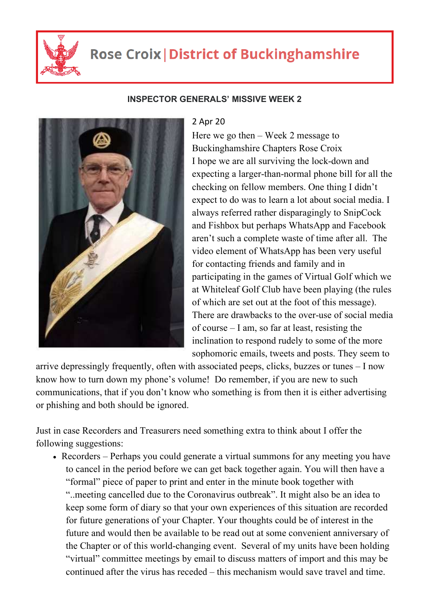

## **Rose Croix | District of Buckinghamshire**

## **INSPECTOR GENERALS' MISSIVE WEEK 2**



## 2 Apr 20

Here we go then – Week 2 message to Buckinghamshire Chapters Rose Croix I hope we are all surviving the lock-down and expecting a larger-than-normal phone bill for all the checking on fellow members. One thing I didn't expect to do was to learn a lot about social media. I always referred rather disparagingly to SnipCock and Fishbox but perhaps WhatsApp and Facebook aren't such a complete waste of time after all. The video element of WhatsApp has been very useful for contacting friends and family and in participating in the games of Virtual Golf which we at Whiteleaf Golf Club have been playing (the rules of which are set out at the foot of this message). There are drawbacks to the over-use of social media of course – I am, so far at least, resisting the inclination to respond rudely to some of the more sophomoric emails, tweets and posts. They seem to

arrive depressingly frequently, often with associated peeps, clicks, buzzes or tunes – I now know how to turn down my phone's volume! Do remember, if you are new to such communications, that if you don't know who something is from then it is either advertising or phishing and both should be ignored.

Just in case Recorders and Treasurers need something extra to think about I offer the following suggestions:

• Recorders – Perhaps you could generate a virtual summons for any meeting you have to cancel in the period before we can get back together again. You will then have a "formal" piece of paper to print and enter in the minute book together with "..meeting cancelled due to the Coronavirus outbreak". It might also be an idea to keep some form of diary so that your own experiences of this situation are recorded for future generations of your Chapter. Your thoughts could be of interest in the future and would then be available to be read out at some convenient anniversary of the Chapter or of this world-changing event. Several of my units have been holding "virtual" committee meetings by email to discuss matters of import and this may be continued after the virus has receded – this mechanism would save travel and time.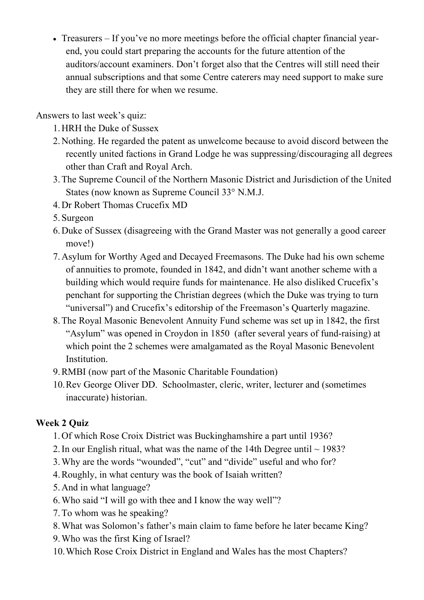Treasurers – If you've no more meetings before the official chapter financial yearend, you could start preparing the accounts for the future attention of the auditors/account examiners. Don't forget also that the Centres will still need their annual subscriptions and that some Centre caterers may need support to make sure they are still there for when we resume.

Answers to last week's quiz:

- 1.HRH the Duke of Sussex
- 2.Nothing. He regarded the patent as unwelcome because to avoid discord between the recently united factions in Grand Lodge he was suppressing/discouraging all degrees other than Craft and Royal Arch.
- 3.The Supreme Council of the Northern Masonic District and Jurisdiction of the United States (now known as Supreme Council 33° N.M.J.
- 4.Dr Robert Thomas Crucefix MD
- 5. Surgeon
- 6.Duke of Sussex (disagreeing with the Grand Master was not generally a good career move!)
- 7.Asylum for Worthy Aged and Decayed Freemasons. The Duke had his own scheme of annuities to promote, founded in 1842, and didn't want another scheme with a building which would require funds for maintenance. He also disliked Crucefix's penchant for supporting the Christian degrees (which the Duke was trying to turn "universal") and Crucefix's editorship of the Freemason's Quarterly magazine.
- 8.The Royal Masonic Benevolent Annuity Fund scheme was set up in 1842, the first "Asylum" was opened in Croydon in 1850 (after several years of fund-raising) at which point the 2 schemes were amalgamated as the Royal Masonic Benevolent Institution.
- 9.RMBI (now part of the Masonic Charitable Foundation)
- 10.Rev George Oliver DD. Schoolmaster, cleric, writer, lecturer and (sometimes inaccurate) historian.

## **Week 2 Quiz**

- 1.Of which Rose Croix District was Buckinghamshire a part until 1936?
- 2. In our English ritual, what was the name of the 14th Degree until  $\sim$  1983?
- 3.Why are the words "wounded", "cut" and "divide" useful and who for?
- 4.Roughly, in what century was the book of Isaiah written?
- 5.And in what language?
- 6.Who said "I will go with thee and I know the way well"?
- 7.To whom was he speaking?
- 8.What was Solomon's father's main claim to fame before he later became King?
- 9.Who was the first King of Israel?
- 10.Which Rose Croix District in England and Wales has the most Chapters?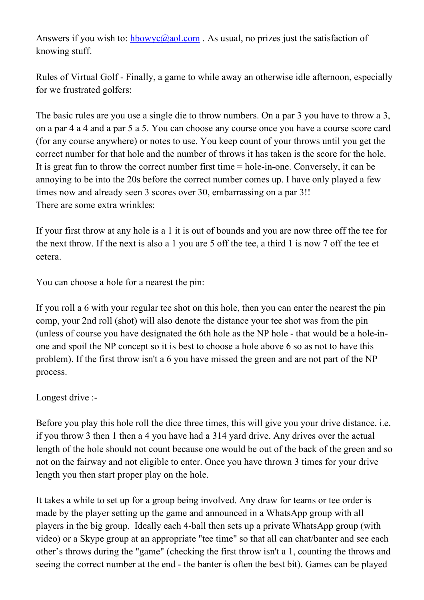Answers if you wish to: hbowyc@aol.com. As usual, no prizes just the satisfaction of knowing stuff.

Rules of Virtual Golf - Finally, a game to while away an otherwise idle afternoon, especially for we frustrated golfers:

The basic rules are you use a single die to throw numbers. On a par 3 you have to throw a 3, on a par 4 a 4 and a par 5 a 5. You can choose any course once you have a course score card (for any course anywhere) or notes to use. You keep count of your throws until you get the correct number for that hole and the number of throws it has taken is the score for the hole. It is great fun to throw the correct number first time = hole-in-one. Conversely, it can be annoying to be into the 20s before the correct number comes up. I have only played a few times now and already seen 3 scores over 30, embarrassing on a par 3!! There are some extra wrinkles:

If your first throw at any hole is a 1 it is out of bounds and you are now three off the tee for the next throw. If the next is also a 1 you are 5 off the tee, a third 1 is now 7 off the tee et cetera.

You can choose a hole for a nearest the pin:

If you roll a 6 with your regular tee shot on this hole, then you can enter the nearest the pin comp, your 2nd roll (shot) will also denote the distance your tee shot was from the pin (unless of course you have designated the 6th hole as the NP hole - that would be a hole-inone and spoil the NP concept so it is best to choose a hole above 6 so as not to have this problem). If the first throw isn't a 6 you have missed the green and are not part of the NP process.

Longest drive :-

Before you play this hole roll the dice three times, this will give you your drive distance. i.e. if you throw 3 then 1 then a 4 you have had a 314 yard drive. Any drives over the actual length of the hole should not count because one would be out of the back of the green and so not on the fairway and not eligible to enter. Once you have thrown 3 times for your drive length you then start proper play on the hole.

It takes a while to set up for a group being involved. Any draw for teams or tee order is made by the player setting up the game and announced in a WhatsApp group with all players in the big group. Ideally each 4-ball then sets up a private WhatsApp group (with video) or a Skype group at an appropriate "tee time" so that all can chat/banter and see each other's throws during the "game" (checking the first throw isn't a 1, counting the throws and seeing the correct number at the end - the banter is often the best bit). Games can be played